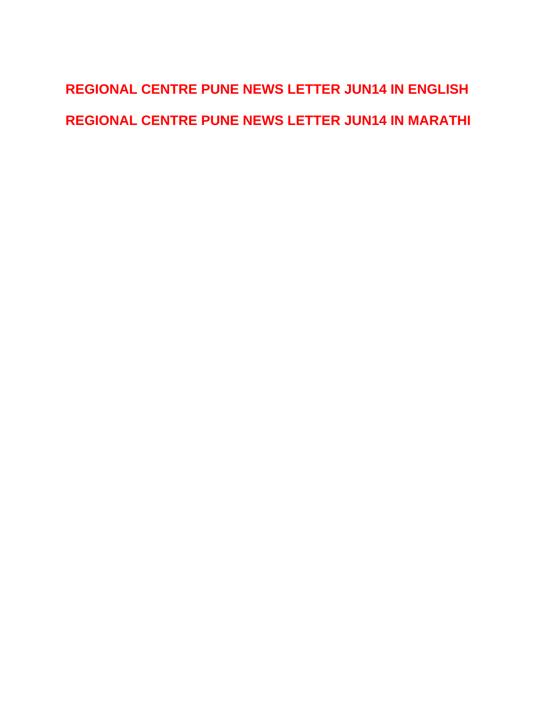# <span id="page-0-0"></span>**[REGIONAL CENTRE PUNE NEWS LETTER JUN14 IN ENGLISH](#page-1-0)  [REGIONAL CENTRE PUNE NEWS LETTER JUN14 IN MARATHI](#page-5-0)**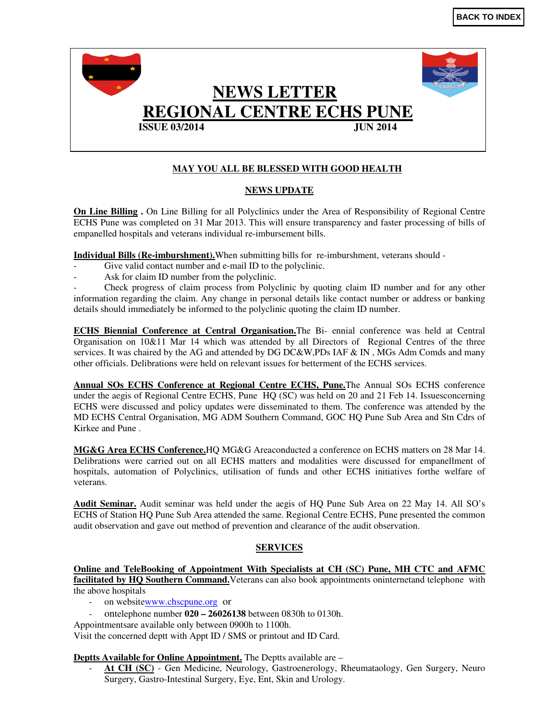<span id="page-1-0"></span>

#### **MAY YOU ALL BE BLESSED WITH GOOD HEALTH**

#### **NEWS UPDATE**

**On Line Billing .** On Line Billing for all Polyclinics under the Area of Responsibility of Regional Centre ECHS Pune was completed on 31 Mar 2013. This will ensure transparency and faster processing of bills of empanelled hospitals and veterans individual re-imbursement bills.

**Individual Bills (Re-imburshment).**When submitting bills for re-imburshment, veterans should -

- Give valid contact number and e-mail ID to the polyclinic.
- Ask for claim ID number from the polyclinic.

- Check progress of claim process from Polyclinic by quoting claim ID number and for any other information regarding the claim. Any change in personal details like contact number or address or banking details should immediately be informed to the polyclinic quoting the claim ID number.

**ECHS Biennial Conference at Central Organisation.**The Bi- ennial conference was held at Central Organisation on 10&11 Mar 14 which was attended by all Directors of Regional Centres of the three services. It was chaired by the AG and attended by DG DC&W,PDs IAF & IN, MGs Adm Comds and many other officials. Delibrations were held on relevant issues for betterment of the ECHS services.

**Annual SOs ECHS Conference at Regional Centre ECHS, Pune.**The Annual SOs ECHS conference under the aegis of Regional Centre ECHS, Pune HQ (SC) was held on 20 and 21 Feb 14. Issuesconcerning ECHS were discussed and policy updates were disseminated to them. The conference was attended by the MD ECHS Central Organisation, MG ADM Southern Command, GOC HQ Pune Sub Area and Stn Cdrs of Kirkee and Pune .

**MG&G Area ECHS Conference.**HQ MG&G Areaconducted a conference on ECHS matters on 28 Mar 14. Delibrations were carried out on all ECHS matters and modalities were discussed for empanellment of hospitals, automation of Polyclinics, utilisation of funds and other ECHS initiatives forthe welfare of veterans.

**Audit Seminar.** Audit seminar was held under the aegis of HQ Pune Sub Area on 22 May 14. All SO's ECHS of Station HQ Pune Sub Area attended the same. Regional Centre ECHS, Pune presented the common audit observation and gave out method of prevention and clearance of the audit observation.

#### **SERVICES**

**Online and TeleBooking of Appointment With Specialists at CH (SC) Pune, MH CTC and AFMC facilitated by HQ Southern Command.**Veterans can also book appointments oninternetand telephone with the above hospitals

- on websitewww.chscpune.org or
- ontelephone number **020 26026138** between 0830h to 0130h.
- Appointmentsare available only between 0900h to 1100h.

Visit the concerned deptt with Appt ID / SMS or printout and ID Card.

#### **Deptts Available for Online Appointment.** The Deptts available are –

At CH (SC) - Gen Medicine, Neurology, Gastroenerology, Rheumataology, Gen Surgery, Neuro Surgery, Gastro-Intestinal Surgery, Eye, Ent, Skin and Urology.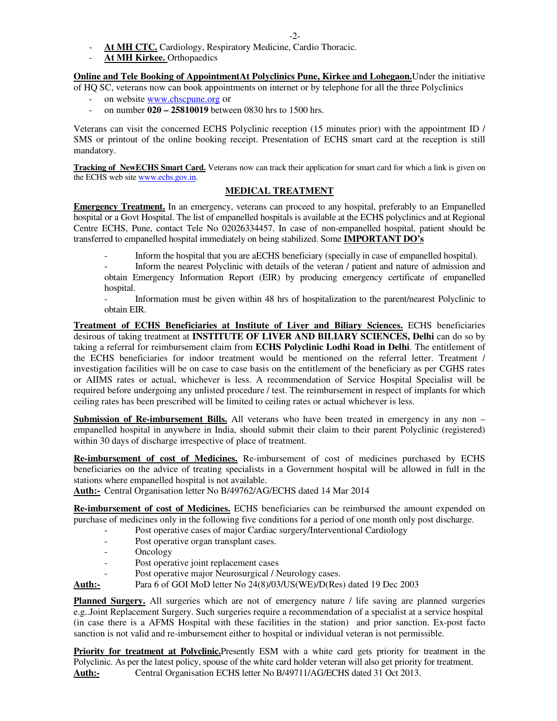-2-

- At MH CTC. Cardiology, Respiratory Medicine, Cardio Thoracic.
- At MH Kirkee. Orthopaedics

**Online and Tele Booking of AppointmentAt Polyclinics Pune, Kirkee and Lohegaon.**Under the initiative

- of HQ SC, veterans now can book appointments on internet or by telephone for all the three Polyclinics
	- on website www.chscpune.org or
	- on number **020 25810019** between 0830 hrs to 1500 hrs.

Veterans can visit the concerned ECHS Polyclinic reception (15 minutes prior) with the appointment ID / SMS or printout of the online booking receipt. Presentation of ECHS smart card at the reception is still mandatory.

**Tracking of NewECHS Smart Card.** Veterans now can track their application for smart card for which a link is given on the ECHS web site www.echs.gov.in.

#### **MEDICAL TREATMENT**

**Emergency Treatment.** In an emergency, veterans can proceed to any hospital, preferably to an Empanelled hospital or a Govt Hospital. The list of empanelled hospitals is available at the ECHS polyclinics and at Regional Centre ECHS, Pune, contact Tele No 02026334457. In case of non-empanelled hospital, patient should be transferred to empanelled hospital immediately on being stabilized. Some **IMPORTANT DO's**

- Inform the hospital that you are aECHS beneficiary (specially in case of empanelled hospital).

- Inform the nearest Polyclinic with details of the veteran / patient and nature of admission and obtain Emergency Information Report (EIR) by producing emergency certificate of empanelled hospital.

- Information must be given within 48 hrs of hospitalization to the parent/nearest Polyclinic to obtain EIR.

**Treatment of ECHS Beneficiaries at Institute of Liver and Biliary Sciences.** ECHS beneficiaries desirous of taking treatment at **INSTITUTE OF LIVER AND BILIARY SCIENCES, Delhi** can do so by taking a referral for reimbursement claim from **ECHS Polyclinic Lodhi Road in Delhi**. The entitlement of the ECHS beneficiaries for indoor treatment would be mentioned on the referral letter. Treatment / investigation facilities will be on case to case basis on the entitlement of the beneficiary as per CGHS rates or AIIMS rates or actual, whichever is less. A recommendation of Service Hospital Specialist will be required before undergoing any unlisted procedure / test. The reimbursement in respect of implants for which ceiling rates has been prescribed will be limited to ceiling rates or actual whichever is less.

**Submission of Re-imbursement Bills.** All veterans who have been treated in emergency in any non – empanelled hospital in anywhere in India, should submit their claim to their parent Polyclinic (registered) within 30 days of discharge irrespective of place of treatment.

**Re-imbursement of cost of Medicines.** Re-imbursement of cost of medicines purchased by ECHS beneficiaries on the advice of treating specialists in a Government hospital will be allowed in full in the stations where empanelled hospital is not available.

**Auth:-** Central Organisation letter No B/49762/AG/ECHS dated 14 Mar 2014

**Re-imbursement of cost of Medicines.** ECHS beneficiaries can be reimbursed the amount expended on purchase of medicines only in the following five conditions for a period of one month only post discharge.

- Post operative cases of major Cardiac surgery/Interventional Cardiology
- Post operative organ transplant cases.
- Oncology
- Post operative joint replacement cases
- Post operative major Neurosurgical / Neurology cases.
- **Auth:-** Para 6 of GOI MoD letter No 24(8)/03/US(WE)/D(Res) dated 19 Dec 2003

**Planned Surgery.** All surgeries which are not of emergency nature / life saving are planned surgeries e.g..Joint Replacement Surgery. Such surgeries require a recommendation of a specialist at a service hospital (in case there is a AFMS Hospital with these facilities in the station) and prior sanction. Ex-post facto sanction is not valid and re-imbursement either to hospital or individual veteran is not permissible.

**Priority for treatment at Polyclinic.**Presently ESM with a white card gets priority for treatment in the Polyclinic. As per the latest policy, spouse of the white card holder veteran will also get priority for treatment. **Auth:-** Central Organisation ECHS letter No B/49711/AG/ECHS dated 31 Oct 2013.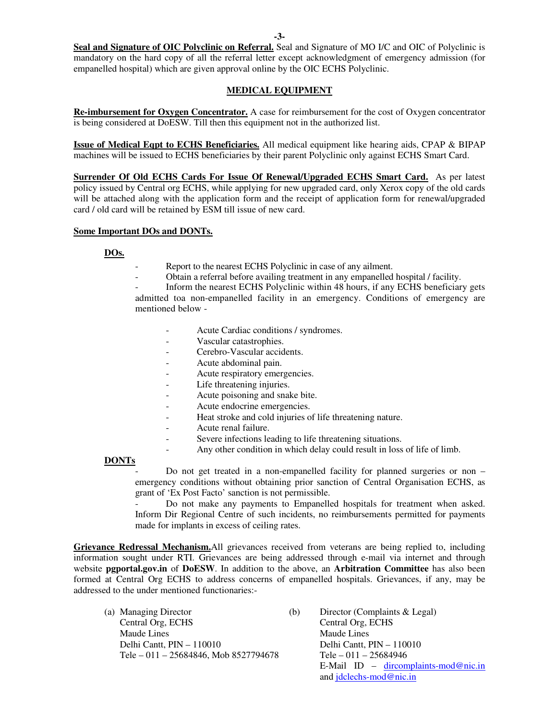**-3-** 

**Seal and Signature of OIC Polyclinic on Referral.** Seal and Signature of MO I/C and OIC of Polyclinic is mandatory on the hard copy of all the referral letter except acknowledgment of emergency admission (for empanelled hospital) which are given approval online by the OIC ECHS Polyclinic.

#### **MEDICAL EQUIPMENT**

**Re-imbursement for Oxygen Concentrator.** A case for reimbursement for the cost of Oxygen concentrator is being considered at DoESW. Till then this equipment not in the authorized list.

**Issue of Medical Eqpt to ECHS Beneficiaries.** All medical equipment like hearing aids, CPAP & BIPAP machines will be issued to ECHS beneficiaries by their parent Polyclinic only against ECHS Smart Card.

**Surrender Of Old ECHS Cards For Issue Of Renewal/Upgraded ECHS Smart Card.** As per latest policy issued by Central org ECHS, while applying for new upgraded card, only Xerox copy of the old cards will be attached along with the application form and the receipt of application form for renewal/upgraded card / old card will be retained by ESM till issue of new card.

#### **Some Important DOs and DONTs.**

#### **DOs.**

- Report to the nearest ECHS Polyclinic in case of any ailment.
- Obtain a referral before availing treatment in any empanelled hospital / facility.

Inform the nearest ECHS Polyclinic within 48 hours, if any ECHS beneficiary gets admitted toa non-empanelled facility in an emergency. Conditions of emergency are mentioned below -

- Acute Cardiac conditions / syndromes.
- Vascular catastrophies.
- Cerebro-Vascular accidents.
- Acute abdominal pain.
- Acute respiratory emergencies.
- Life threatening injuries.
- Acute poisoning and snake bite.
- Acute endocrine emergencies.
- Heat stroke and cold injuries of life threatening nature.
- Acute renal failure.
- Severe infections leading to life threatening situations.
- Any other condition in which delay could result in loss of life of limb.

#### **DONTs**

Do not get treated in a non-empanelled facility for planned surgeries or non – emergency conditions without obtaining prior sanction of Central Organisation ECHS, as grant of 'Ex Post Facto' sanction is not permissible.

Do not make any payments to Empanelled hospitals for treatment when asked. Inform Dir Regional Centre of such incidents, no reimbursements permitted for payments made for implants in excess of ceiling rates.

**Grievance Redressal Mechanism.**All grievances received from veterans are being replied to, including information sought under RTI. Grievances are being addressed through e-mail via internet and through website **pgportal.gov.in** of **DoESW**. In addition to the above, an **Arbitration Committee** has also been formed at Central Org ECHS to address concerns of empanelled hospitals. Grievances, if any, may be addressed to the under mentioned functionaries:-

- (a) Managing Director (b) Director (Complaints & Legal) Central Org, ECHS Central Org, ECHS Maude Lines Maude Lines Delhi Cantt, PIN – 110010 Delhi Cantt, PIN – 110010 Tele – 011 – 25684846, Mob 8527794678 Tele – 011 – 25684946
	- E-Mail ID dircomplaints-mod@nic.in and jdclechs-mod@nic.in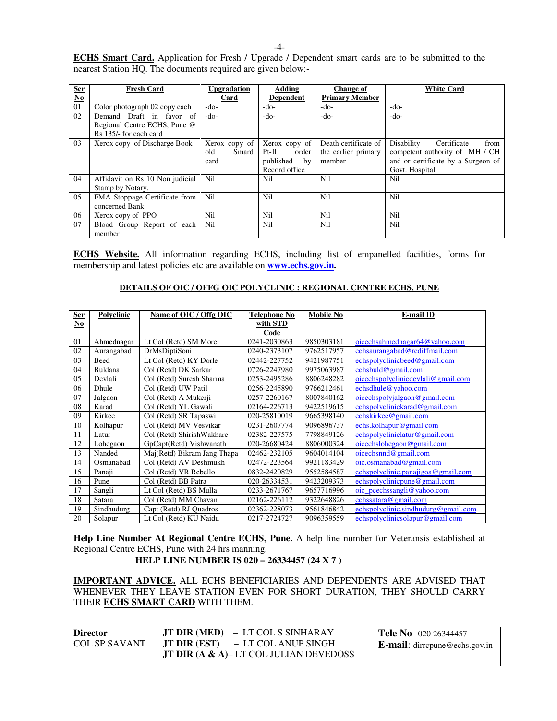| <b>Ser</b>                         | <b>Fresh Card</b>               | <b>Upgradation</b> | <b>Adding</b>            | <b>Change of</b>      | <b>White Card</b>                  |
|------------------------------------|---------------------------------|--------------------|--------------------------|-----------------------|------------------------------------|
| $\underline{\mathbf{N}\mathbf{o}}$ |                                 | Card               | <b>Dependent</b>         | <b>Primary Member</b> |                                    |
| 01                                 | Color photograph 02 copy each   | $-do-$             | $-do-$                   | $-do-$                | -do-                               |
| 02                                 | Demand Draft in favor of        | $-do-$             | $-do-$                   | $-do-$                | -do-                               |
|                                    | Regional Centre ECHS, Pune @    |                    |                          |                       |                                    |
|                                    | Rs 135/- for each card          |                    |                          |                       |                                    |
| 03                                 | Xerox copy of Discharge Book    | Xerox copy of      | Xerox copy of            | Death certificate of  | Disability<br>Certificate<br>from  |
|                                    |                                 | old<br>Smard       | order<br>$Pt-H$          | the earlier primary   | competent authority of MH / CH     |
|                                    |                                 | card               | published<br>$_{\rm by}$ | member                | and or certificate by a Surgeon of |
|                                    |                                 |                    | Record office            |                       | Govt. Hospital.                    |
| 04                                 | Affidavit on Rs 10 Non judicial | Nil                | Nil                      | Nil                   | Nil                                |
|                                    | Stamp by Notary.                |                    |                          |                       |                                    |
| 05                                 | FMA Stoppage Certificate from   | Nil                | Nil                      | Nil                   | Nil                                |
|                                    | concerned Bank.                 |                    |                          |                       |                                    |
| 06                                 | Xerox copy of PPO               | Nil                | Nil                      | Nil                   | Nil                                |
| 07                                 | Blood Group Report of each      | Nil                | Nil                      | Nil                   | Nil                                |
|                                    | member                          |                    |                          |                       |                                    |

**ECHS Website.** All information regarding ECHS, including list of empanelled facilities, forms for membership and latest policies etc are available on **www.echs.gov.in.** 

#### **DETAILS OF OIC / OFFG OIC POLYCLINIC : REGIONAL CENTRE ECHS, PUNE**

| <b>Ser</b>                         | Polyclinic | Name of OIC / Offg OIC      | <b>Telephone No</b> | <b>Mobile No</b> | <b>E-mail ID</b>                    |
|------------------------------------|------------|-----------------------------|---------------------|------------------|-------------------------------------|
| $\underline{\mathbf{N}\mathbf{o}}$ |            |                             | with STD            |                  |                                     |
|                                    |            |                             | Code                |                  |                                     |
| 01                                 | Ahmednagar | Lt Col (Retd) SM More       | 0241-2030863        | 9850303181       | oicechsahmednagar $64@$ yahoo.com   |
| 02                                 | Aurangabad | DrMsDiptiSoni               | 0240-2373107        | 9762517957       | echsaurangabad@rediffmail.com       |
| 03                                 | Beed       | Lt Col (Retd) KY Dorle      | 02442-227752        | 9421987751       | echspolyclinicbeed@gmail.com        |
| 04                                 | Buldana    | Col (Retd) DK Sarkar        | 0726-2247980        | 9975063987       | echsbuld@gmail.com                  |
| 05                                 | Devlali    | Col (Retd) Suresh Sharma    | 0253-2495286        | 8806248282       | oicechspolyclinicdevlali@gmail.com  |
| 06                                 | Dhule      | Col (Retd) UW Patil         | 0256-2245890        | 9766212461       | echsdhule@yahoo.com                 |
| 07                                 | Jalgaon    | Col (Retd) A Mukerji        | 0257-2260167        | 8007840162       | oicechspolyjalgaon@gmail.com        |
| 08                                 | Karad      | Col (Retd) YL Gawali        | 02164-226713        | 9422519615       | echspolyclinickarad@gmail.com       |
| 09                                 | Kirkee     | Col (Retd) SR Tapaswi       | 020-25810019        | 9665398140       | echskirkee@gmail.com                |
| 10                                 | Kolhapur   | Col (Retd) MV Vesvikar      | 0231-2607774        | 9096896737       | echs.kolhapur@gmail.com             |
| 11                                 | Latur      | Col (Retd) ShirishWakhare   | 02382-227575        | 7798849126       | echspolycliniclatur@gmail.com       |
| 12                                 | Lohegaon   | GpCapt(Retd) Vishwanath     | 020-26680424        | 8806000324       | oicechslohegaon@gmail.com           |
| 13                                 | Nanded     | Maj(Retd) Bikram Jang Thapa | 02462-232105        | 9604014104       | oicechs and @gmail.com              |
| 14                                 | Osmanabad  | Col (Retd) AV Deshmukh      | 02472-223564        | 9921183429       | oic.osmanabad@gmail.com             |
| 15                                 | Panaji     | Col (Retd) VR Rebello       | 0832-2420829        | 9552584587       | echspolyclinic.panajigoa@gmail.com  |
| 16                                 | Pune       | Col (Retd) BB Patra         | 020-26334531        | 9423209373       | echspolyclinicpune@gmail.com        |
| 17                                 | Sangli     | Lt Col (Retd) BS Mulla      | 0233-2671767        | 9657716996       | oic_pcechssangli@yahoo.com          |
| 18                                 | Satara     | Col (Retd) MM Chavan        | 02162-226112        | 9322648826       | echssatara@gmail.com                |
| 19                                 | Sindhudurg | Capt (Retd) RJ Quadros      | 02362-228073        | 9561846842       | echspolyclinic.sindhudurg@gmail.com |
| 20                                 | Solapur    | Lt Col (Retd) KU Naidu      | 0217-2724727        | 9096359559       | echspolyclinicsolapur@gmail.com     |

**Help Line Number At Regional Centre ECHS, Pune.** A help line number for Veteransis established at Regional Centre ECHS, Pune with 24 hrs manning. **HELP LINE NUMBER IS 020 – 26334457 (24 X 7 )**

**IMPORTANT ADVICE.** ALL ECHS BENEFICIARIES AND DEPENDENTS ARE ADVISED THAT WHENEVER THEY LEAVE STATION EVEN FOR SHORT DURATION, THEY SHOULD CARRY THEIR **ECHS SMART CARD** WITH THEM.

| <b>Director</b>      | $\parallel$ JT DIR (MED) – LT COL S SINHARAY      | <b>Tele No</b> $-020$ 26344457       |
|----------------------|---------------------------------------------------|--------------------------------------|
| <b>COL SP SAVANT</b> | $\parallel$ JT DIR (EST) – LT COL ANUP SINGH      | <b>E-mail:</b> dirrepune@echs.gov.in |
|                      | <b>JT DIR (A &amp; A)– LT COL JULIAN DEVEDOSS</b> |                                      |

-4-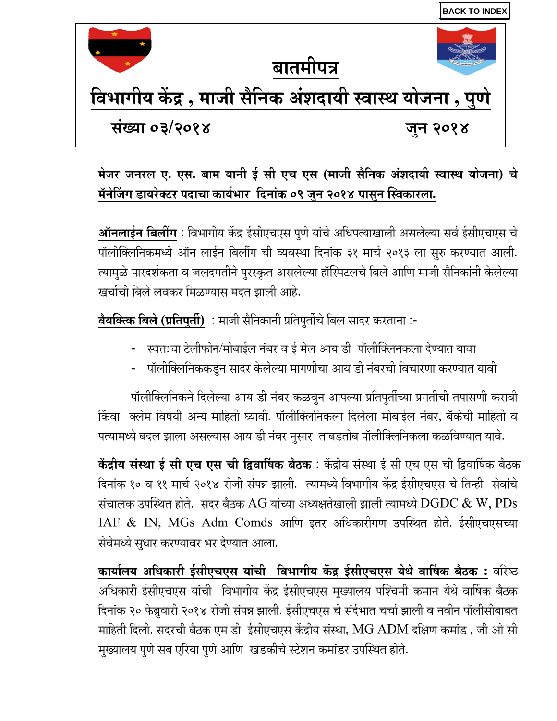<span id="page-5-0"></span>

## मेजर जनरल ए. एस. बाम यानी ई सी एच एस (माजी सैनिक अंशदायी स्वास्थ योजना) चे मॅनेजिंग डायरेक्टर पदाचा कार्यभार दिनांक ०९ जुन २०१४ पासुन स्विकारला.

<u>**ऑनलाईन बिलींग</mark> : विभागीय केंद्र ईसीएचएस पुणे यांचे अधिपत्याखाली असलेल्या सर्व ईसीएचएस चे**</u> पॉलीक्लिनिकमध्ये ऑन लाईन बिलींग ची व्यवस्था दिनांक ३१ मार्च २०१३ ला सुरु करण्यात आली. त्यामुळे पारदर्शकता व जलदगतीने पुरस्कृत असलेल्या हॉस्पिटलचे बिले आणि माजी सैनिकांनी केलेल्या खर्चाची बिले लवकर मिळण्यास मदत झाली आहे.

<mark>वैयक्त्कि बिले (प्रतिपुर्ती)</mark> ∶ माजी सैनिकानी प्रतिपुर्तीचे बिल सादर करताना :-

- स्वतःचा टेलीफोन⁄मोबाईल नंबर व ई मेल आय डी पॉलीक्लिनकला देण्यात यावा
- पॉलीक्लिनिककडुन सादर केलेल्या मागणीचा आय डी नंबरची विचारणा करण्यात यावी

पॉलीक्लिनिकने दिलेल्या आय डी नंबर कळवुन आपल्या प्रतिपुर्तीच्या प्रगतीची तपासणी करावी किंवा क्लेम विषयी अन्य माहिती घ्यावी. पॉलीक्लिनिकला दिलेला मोबाईल नंबर, बँकेची माहिती व पत्यामध्ये बदल झाला असल्यास आय डी नंबर नुसार ताबडतोब पॉलीक्लिनिकला कळविण्यात यावे.

<mark>केंद्रीय संस्था ई सी एच एस ची द्विवार्षिक बैठक</mark> : केंद्रीय संस्था ई सी एच एस ची द्विवार्षिक बैठक दिनांक १० व ११ मार्च २०१४ रोजी संपन्न झाली. त्यामध्ये विभागीय केंद्र ईसीएचएस चे तिन्ही सेवांचे संचालक उपस्थित होते. सदर बैठक  ${\rm AG}$  यांच्या अध्यक्षतेखाली झाली त्यामध्ये  ${\rm DGDC}$   $\&$   ${\rm W,}$   ${\rm PDs}$  ${\rm IAF}\; \& \; {\rm IN, \; MGs \; Adm \; Comds \;}$  आणि इतर अधिकारीगण उपस्थित होते. ईसीएचएसच्या सेवेमध्ये सुधार करण्यावर भर देण्यात आला.

<mark>कार्यालय अधिकारी ईसीएचएस यांची विभागीय केंद्र ईसीएचएस येथे वार्षिक बैठक:</mark> वरिष्ठ अधिकारी ईसीएचएस यांची विभागीय केंद्र ईसीएचएस मुख्यालय पश्चिमी कमान येथे वार्षिक बैठक दिनांक २० फेब्रुवारी २०१४ रोजी संपन्न झाली. ईसीएचएस चे संर्दभात चर्चा झाली व नवीन पॉलीसीबाबत माहिती दिली. सदरची बैठक एम डी ईसीएचएस केंद्रीय संस्था,  $\rm MG$   $\rm ADM$  दक्षिण कमांड , जी ओ सी मुख्यालय पुणे सब एरिया पुणे आणि खडकीचे स्टेशन कमांडर उपस्थित होते.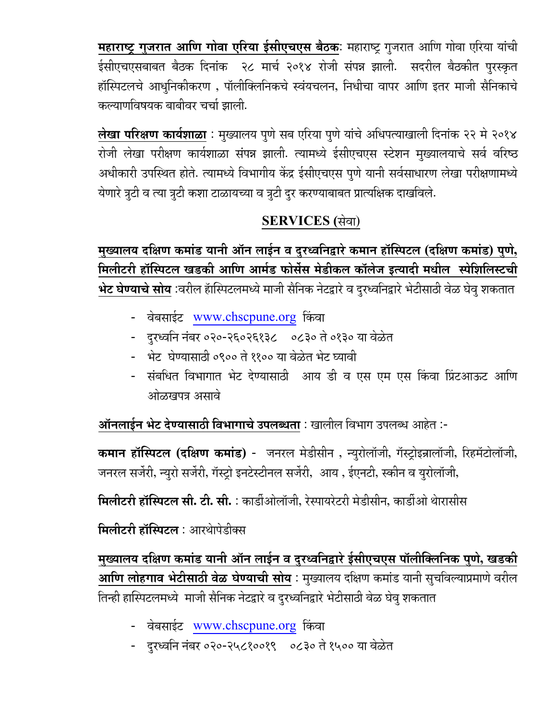महाराष्ट्र गुजरात आणि गोवा एरिय<u>ा ईसीएचएस बैठक</u>: महाराष्ट्र गुजरात आणि गोवा एरिया यांची ईसीएचएसबाबत बैठक दिनांक २८ मार्च २०१४ रोजी संपन्न झाली. सदरील बैठकीत पुरस्कृत हॉस्पिटलचे आधुनिकीकरण , पॉलीक्लिनिकचे स्वंयचलन, निधीचा वापर आणि इतर माजी सैनिकाचे कल्याणविषयक बाबीवर चर्चा झाली<mark>.</mark>

<mark>लेखा परिक्षण कार्यशाळा</mark> : मुख्यालय पुणे सब एरिया पुणे यांचे अधिपत्याखाली दिनांक २२ मे २०१४ रोजी लेखा परीक्षण कार्यशाळा संपन्न झाली. त्यामध्ये ईसीएचएस स्टेशन मुख्यालयाचे सर्व वरि<mark>ष्ठ</mark> अधीकारी उपस्थित होते. त्यामध्ये विभागीय केंद्र ईसीएचएस पुणे यानी सर्वसाधारण लेखा परीक्षणामध्ये येणारे त्रुटी व त्या त्रुटी कशा टाळायच्या व त्रुटी दुर करण्याबाबत प्रात्यक्षिक दाखविले.

## SERVICES (सेवा)

<u>मुख्यालय दक्षिण कमांड यानी ऑन लाईन व दुरध्वनिद्वारे कमान हॉस्पिटल (दक्षिण क</u>मांड) पुणे, मिलीटरी हॉस्पिटल खडकी आणि आर्मड फोर्सेस मेडीकल कॉलेज इत्यादी मधील स्पेशिलिस्टची <mark>भेट घेण्याचे सोय</mark> :वरील हॅास्पिटलमध्ये माजी सैनिक नेटद्वारे व दुरध्वनिद्वारे भेटीसाठी वेळ घेवु शकतात

- वेबसाईट <u>www.chscpune.or</u>g किंवा
- − दरध्वनि नंबर ०२०-२६०२६१३८ ०८३० ते ०१३० या वेळेत
- भेट घेण्यासाठी ०९०० ते ११०० या वेळेत भेट घ्यावी
- संबधित विभागात भेट देण्यासाठी आय डी व एस एम एस किंवा प्रिंटआऊट आणि ओळखपत्र असावे

ऑनलाईन भेट देण्यासाठी विभागाचे उपलब्धता : खालील विभाग उपलब्ध आहेत :-

कमान हॉस्पिटल (दक्षिण कमांड) - जनरल मेडीसीन , न्युरोलॉजी, गॅस्ट्रोइन्रालॉजी, रिहमॅटोलॉजी, जनरल सर्जेरी, न्युरो सर्जेरी, गॅस्ट्रो इनटेस्टीनल सर्जेरी, आय , ईएनटी, स्कीन व युरोलॉजी,

**मिलीटरी हॉस्पिटल सी. टी. सी.** : कार्डीओलॉजी, रेस्पायरेटरी मेडीसीन, कार्डीओ थेारासीस

**मिलीटरी हॉस्पिटल**: आरथोपेडीक्स

<u>मुख्यालय दक्षिण कमांड यानी ऑन लाईन व दु</u>रध्वनिद्वारे ईसीएचएस पॉलीक्लिनिक पुणे, खडकी <mark>आणि लोहगाव भेटीसाठी वेळ घेण्याची सोय</mark> : मुख्यालय दक्षिण कमांड यानी सुचविल्याप्रमाणे वरील तिन्ही हास्पिटलमध्ये माजी सैनिक नेटद्वारे व दुरध्वनिद्वारे भेटीसाठी वेळ घेवु शकतात

- वेबसाईट <u>www.chscpune.org</u> किंवा
- − दरध्वनि नंबर ०२०-२५८१००१९ ०८३० ते १५०० या वेळेत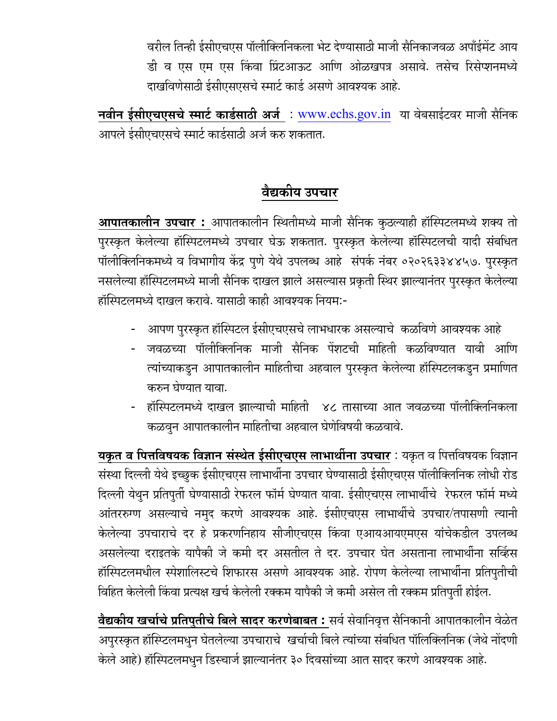वरील तिन्ही ईसीएचएस पॉलीक्लिनिकला भेट देण्यासाठी माजी सैनिकाजवळ अपॉईमेंट आय डी व एस एम एस किंवा प्रिंटआऊट आणि ओळखपत्र असावे. तसेच रिसेप्शनमध्ये दाखविणेसाठी ईसीएसएसचे स्मार्ट कार्ड असणे आवश्यक आहे.

नवीन ईसीएचएसचे स्मार्ट कार्डसाठी अर्ज: www.echs.gov.in या वेबसाईटवर माजी सैनिक आपले ईसीएचएसचे स्मार्ट कार्डसाठी अर्ज करु शकतात.

## वैद्यकीय उपचार

**आपातकालीन उपचार:** आपातकालीन स्थितीमध्ये माजी सैनिक कुठल्याही हॉस्पिटलमध्ये शक्य तो पुरस्कृत केलेल्या हॉस्पिटलमध्ये उपचार घेऊ शकतात. पुरस्कृत केलेल्या हॉस्पिटलची यादी संबधित पॉलीक्लिनिकमध्ये व विभागीय केंद्र पुणे येथे उपलब्ध आहे संपर्क नंबर ०२०२६३३४४५७. पुरस्कृत नसलेल्या हॉस्पिटलमध्ये माजी सैनिक दाखल झाले असल्यास प्रकृती स्थिर झाल्यानंतर पुरस्कृत केलेल्या हॉस्पिटलमध्ये दाखल करावे. यासाठी काही आवश्यक नियम:-

- आपण पुरस्कृत हॉस्पिटल ईसीएचएसचे लाभधारक असल्याचे कळविणे आवश्यक आहे
- जवळच्या पॉलीक्लिनिक माजी सैनिक पेंशटची माहिती कळविण्यात यावी आणि त्यांच्याकडुन आपातकालीन माहितीचा अहवाल पुरस्कृत केलेल्या हॉस्पिटलकडुन प्रमाणित करुन घेण्यात यावा.
- हॉस्पिटलमध्ये दाखल झाल्याची माहिती ४८ तासाच्या आत जवळच्या पॉलीक्लिनिकला कळवून आपातकालीन माहितीचा अहवाल घेणेविषयी कळवावे.

**यकृत व पित्तविषयक विज्ञान संस्थेत ईसीएचएस लाभार्थीना उपचार** : यकृत व पित्तविषयक विज्ञान संस्था दिल्ली येथे इच्छुक ईसीएचएस लाभार्थीना उपचार घेण्यासाठी ईसीएचएस पॉलीक्लिनिक लोधी रोड दिल्ली येथुन प्रतिपुर्ती घेण्यासाठी रेफरल फॉर्म घेण्यात यावा. ईसीएचएस लाभार्थीचे रेफरल फॉर्म मध्ये आंतररुग्ण असल्याचे नमुद करणे आवश्यक आहे. ईसीएचएस लाभार्थीचे उपचार/तपासणी त्यानी केलेल्या उपचाराचे दर हे प्रकरणनिहाय सीजीएचएस किंवा एआयआयएमएस यांचेकडील उपलब्ध असलेल्या दराइतके यापैकी जे कमी दर असतील ते दर. उपचार घेत असताना लाभार्थीना सर्व्हिस हॉस्पिटलमधील स्पेशालिस्टचे शिफारस असणे आवश्यक आहे. रोपण केलेल्या लाभार्थीना प्रतिपुतीची विहित केलेली किंवा प्रत्यक्ष खर्च केलेली रक्कम यापैकी जे कमी असेल ती रक्कम प्रतिपूर्ती होईल.

वैद्यकीय खर्चाचे प्रतिपुतीचे बिले सादर करणेबाबत : सर्व सेवानिवृत्त सैनिकानी आपातकालीन वेळेत अपुरस्कृत हॉस्प्टिलमधुन घेतलेल्या उपचाराचे खर्चाची बिले त्यांच्या संबधित पॉलिक्लिनिक (जेथे नोंदणी केले आहे) हॉस्पिटलमधुन डिस्चार्ज झाल्यानंतर ३० दिवसांच्या आत सादर करणे आवश्यक आहे.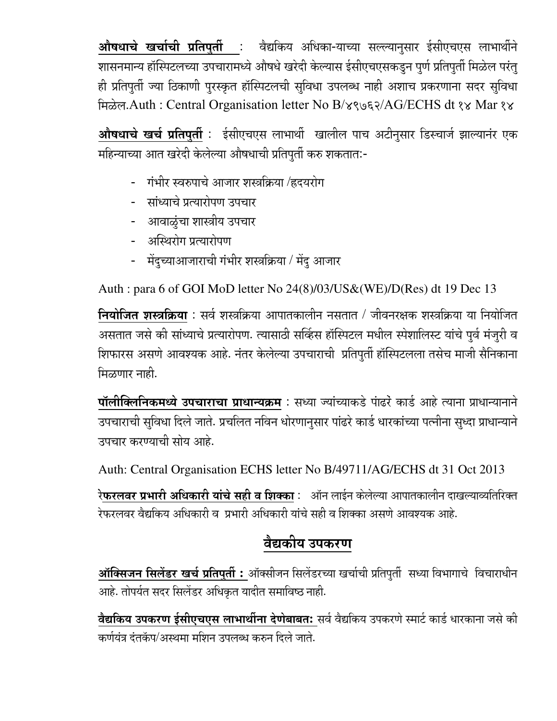औषधाचे खर्चाची प्रतिपुर्ती : वैद्यकिय अधिका-याच्या सल्ल्यानुसार ईसीएचएस लाभार्थीने शासनमान्य हॉस्पिटलच्या उपचारामध्ये औषधे खरेदी केल्यास ईसीएचएसकडुन पुर्ण प्रतिपुर्ती मिळेल परंतु ही प्रतिपुर्ती ज्या ठिकाणी पुरस्कृत हॉस्पिटलची सुविधा उपलब्ध नाही अशाच प्रकरणाना सदर सुविधा मिळेल.Auth: Central Organisation letter No B/४९७६२/AG/ECHS dt १४ Mar १४

<mark>औषधाचे खर्च प्रतिपुर्ती</mark> : ईसीएचएस लाभार्थी खालील पाच अटीनुसार डिस्चार्ज झाल्यानंर एक महिन्याच्या आत खरेदी केलेल्या औषधाची प्रतिपुर्ती करु शकतात:-

- गंभीर स्वरुपाचे आजार शस्त्रक्रिया /हृदयरोग
- सांध्याचे प्रत्यारोपण उपचार
- आवाळुंचा शास्त्रीय उपचार
- अस्थिरोग प्रत्यारोपण
- मेंदुच्याआजाराची गंभीर शस्त्रक्रिया / मेंदु आजार

Auth : para 6 of GOI MoD letter No 24(8)/03/US&(WE)/D(Res) dt 19 Dec 13

**नियोजित शस्त्रक्रिया** : सर्व शस्त्रक्रिया आपातकालीन नसतात / जीवनरक्षक शस्त्रक्रिया या नियोजित असतात जसे की सांध्याचे प्रत्यारोपण. त्यासाठी सर्व्हिस हॉस्पिटल मधील स्पेशालिस्ट यांचे पुर्व मंजुरी व शिफारस असणे आवश्यक आहे. नंतर केलेल्या उपचाराची प्रतिपुर्ती हॉस्पिटलला तसेच माजी सैनिकाना मिळणार नाही.

पॉलीक्लिनिकमध्ये उपचाराचा प्राधान्यक्रम : सध्या ज्यांच्याकडे पाढरे कार्ड आहे त्याना प्राधान्यानाने उपचाराची सुविधा दिले जाते. प्रचलित नविन धोरणानुसार पांढरे कार्ड धारकांच्या पत्नीना सुध्दा प्राधान्याने उपचार करण्याची सोय आहे.

Auth: Central Organisation ECHS letter No B/49711/AG/ECHS dt 31 Oct 2013

रे**फरलवर प्रभारी अधिकारी यांचे सही व शिक्का** : ऑन लाईन केलेल्या आपातकालीन दाखल्याव्यतिरिक्त रेफरलवर वैद्यकिय अधिकारी व प्रभारी अधिकारी यांचे सही व शिक्का असणे आवश्यक आहे.

## वैद्यकीय उपकरण

<mark>ऑक्सिजन सिलेंडर खर्च प्रतिपुर्ती :</mark> ऑक्सीजन सिलेंडरच्या खर्चाची प्रतिपुर्ती सध्या विभागाचे विचाराधीन आहे. तोपर्यत सदर सिलेंडर अधिकृत यादीत समाविष्ठ नाही.

वैद्यकिय उपकरण ईसीएचएस लाभार्थीना देणेबाबतः सर्व वैद्यकिय उपकरणे स्मार्ट कार्ड धारकाना जसे की कर्णयंत्र दंतकॅप/अस्थमा मशिन उपलब्ध करुन दिले जाते.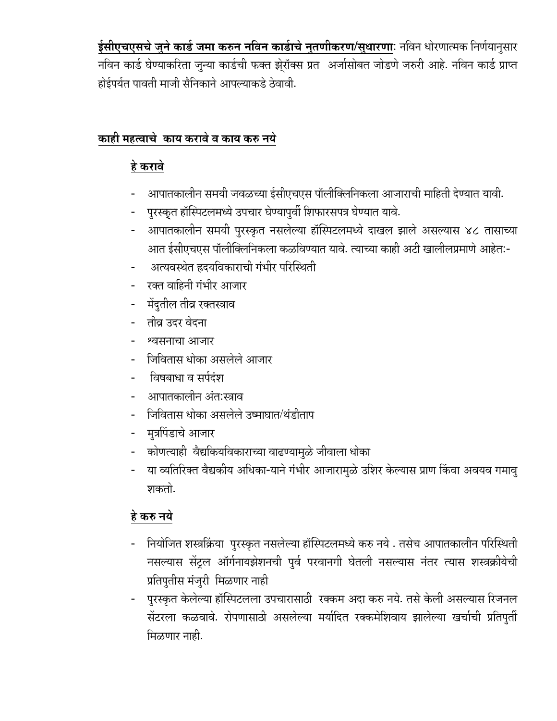<mark>ईसीएचएसचे जुने कार्ड जमा करुन नविन कार्डाचे नुतणीकरण/सुधारणा</mark>ः नविन धोरणात्मक निर्णयानुसार नविन कार्ड घेण्याकरिता जुन्या कार्डची फक्त झे्रॉक्स प्रत अर्जासोबत जोडणे जरुरी आहे. नविन कार्ड प्राप्त होईपर्यत पावती माजी सैनिकाने आपल्याकडे ठेवावी.

### काही महत्वाचे काय करावे व काय करु नये

## हे करावे

- आपातकालीन समयी जवळच्या ईसीएचएस पॉलीक्लिनिकला आजाराची माहिती देण्यात यावी.
- पुरस्कृत हॉस्पिटलमध्ये उपचार घेण्यापुर्वी शिफारसपत्र घेण्यात यावे.
- आपातकालीन समयी पुरस्कृत नसलेल्या हॉस्पिटलमध्ये दाखल झाले असल्यास ४८ तासाच्या आत ईसीएचएस पॉलीक्लिनिकला कळविण्यात यावे. त्याच्या काही अटी खालीलप्रमाणे आहेत:-
- अत्यवस्थेत ह्रदयविकाराची गंभीर परिस्थिती
- रक्त वाहिनी गंभीर आजार
- मेंदुतील तीव्र रक्तस्त्राव
- तीव्र उदर वेदना
- श्वसनाचा आजार
- जिवितास धोका असलेले आजार
- <u>विषबाधा व सर्पदंश</u>
- आपातकालीन अंतःस्त्राव
- जिवितास धोका असलेले उष्माघात/थंडीताप
- मुत्रपिंडाचे आजार
- कोणत्याही वैद्यकियविकाराच्या वाढण्यामुळे जीवाला धोका
- या व्यतिरिक्त वैद्यकीय अधिका-याने गंभीर आजारामुळे उशिर केल्यास प्राण किंवा अवयव गमावु शकतो.

## हे करु नये

- नियोजित शस्त्रक्रिया पुरस्कृत नसलेल्या हॉस्पिटलमध्ये करु नये . तसेच आपातकालीन परिस्थिती नसल्यास सेंट्रल ऑर्गनायझेशनची पुर्व परवानगी घेतली नसल्यास नंतर त्यास शस्त्रक्रीयेची प्रतिपुतीस मंजुरी मिळणार नाही
- पुरस्कृत केलेल्या हॉस्पिटलला उपचारासाठी रक्कम अदा करु नये. तसे केली असल्यास रिजनल सेंटरला कळवावे. रोपणासाठी असलेल्या मर्यादित रक्कमेशिवाय झालेल्या खर्चाची प्रतिपुर्ती मिळणार नाही.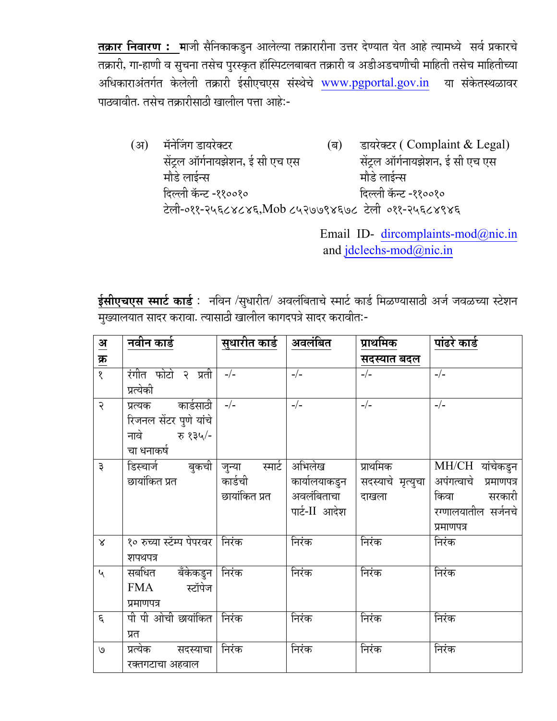तक्रार निवारण : माजी सैनिकाकडुन आलेल्या तक्रारारीना उत्तर देण्यात येत आहे त्यामध्ये सर्व प्रकारचे तक्रारी, गा-हाणी व सुचना तसेच पुरस्कृत हॉस्पिटलबाबत तक्रारी व अडीअडचणीची माहिती तसेच माहितीच्या अधिकाराअंतर्गत केलेली तक्रारी ईसीएचएस संस्थेचे www.pgportal.gov.in या संकेतस्थळावर पाठवावीत. तसेच तक्रारीसाठी खालील पत्ता आहे:-

डायरेक्टर (Complaint & Legal)  $(3)$ मॅनेजिंग डायरेक्टर  $(\overline{\mathbb{a}})$ सेंट्रल ऑर्गनायझेशन, ई सी एच एस सेंट्रल ऑर्गनायझेशन, ई सी एच एस मौडे लाईन्स मौडे लाईन्स दिल्ली कॅन्ट -११००१० दिल्ली कॅन्ट -११००१० टेली-०११-२५६८४८४६, Mob ८५२७७९४६७८ टेली ०११-२५६८४९४६

> Email ID- dircomplaints-mod@nic.in and jdclechs-mod@nic.in

<mark>ईसीएचएस स्मार्ट कार्ड</mark> : नविन /सुधारीत/ अवलंबिताचे स्मार्ट कार्ड मिळण्यासाठी अर्ज जवळच्या स्टेशन मुख्यालयात सादर करावा. त्यासाठी खालील कागदपत्रे सादर करावीत:-

| $\frac{3I}{2}$  | <u>नवीन कार्ड</u>                | सुधारीत कार्ड | अवलंबित       | प्राथमिक          | पांढरे कार्ड                        |
|-----------------|----------------------------------|---------------|---------------|-------------------|-------------------------------------|
| <u>क्र</u><br>१ |                                  |               |               | सदस्यात बदल       |                                     |
|                 | रंगीत फोटो २ प्रती               | $-/-$         | $-/-$         | $-/-$             | $-/-$                               |
|                 | प्रत्येकी                        |               |               |                   |                                     |
| २               | प्रत्यक कार्डसाठी                | $-/-$         | $-/-$         | $-/-$             | $-/-$                               |
|                 | रिजनल सेंटर पुणे यांचे           |               |               |                   |                                     |
|                 | नावे रु १३५/-                    |               |               |                   |                                     |
|                 | चा धनाकर्ष                       |               |               |                   |                                     |
| ३               | डिस्चार्ज बुकची जुन्या           | स्मार्ट       | अभिलेख        | प्राथमिक          | $\overline{\text{MH/CH}}$ यांचेकडुन |
|                 | छायांकित प्रत                    | कार्डची       | कार्यालयाकडुन | सदस्याचे मृत्युचा | अपंगत्वाचे प्रमाणपत्र               |
|                 |                                  | छायांकित प्रत | अवलंबिताचा    | दाखला             | किवा सरकारी                         |
|                 |                                  |               | पार्ट-II आदेश |                   | रग्णालयातील सर्जनचे                 |
|                 |                                  |               |               |                   | प्रमाणपत्र                          |
| $\propto$       | १० रुच्या स्टॅम्प पेपरवर   निरंक |               | निरंक         | निरंक             | निरंक                               |
|                 | शपथपत्र                          |               |               |                   |                                     |
| $\mathbf{v}$    | सबधित बँकेकडुन                   | निरंक         | निरंक         | निरंक             | निरंक                               |
|                 | स्टॉपेज<br>FMA                   |               |               |                   |                                     |
|                 | प्रमाणपत्र                       |               |               |                   |                                     |
| $\epsilon$      | पी पी ओची छायांकित               | निरंक         | निरंक         | निरंक             | निरंक                               |
|                 | प्रत                             |               |               |                   |                                     |
| $\mathcal{O}$   | प्रत्येक सदस्याचा                | निरंक         | निरंक         | निरंक             | निरंक                               |
|                 | रक्तगटाचा अहवाल                  |               |               |                   |                                     |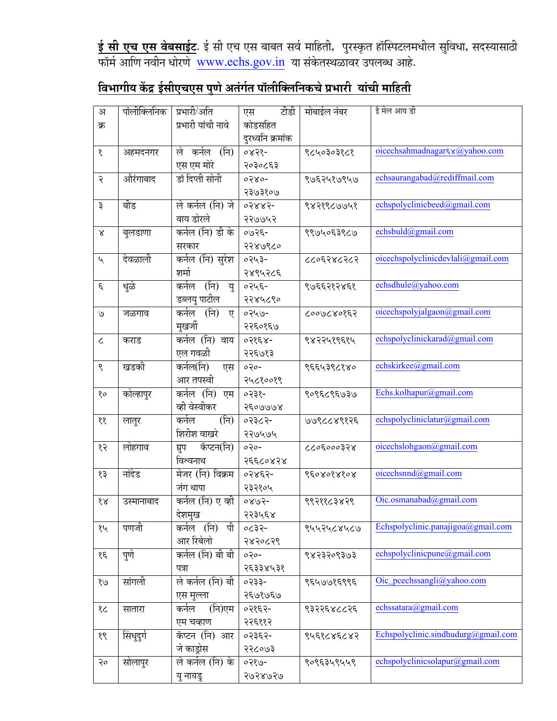<mark>ई सी एच एस वेबसाईट</mark>. ई सी एच एस बाबत सर्व माहिती, पुरस्कृत हॉस्पिटलमधील सुविधा, सदस्यासाठी फॉर्म आणि नवीन धोरणे <u>www.echs.gov.in</u> या संकेतस्थळावर उपलब्ध आहे.

## $\overline{\bf b}$ विभागीय केंद्र ईसीएचएस पुणे अतंर्गत पॉलीक्लिनिकचे प्रभारी यांची माहिती

| अ             | पॉलीक्लिनिक | प्रभारी/अति         | टीडी<br>एस       | मोबाईल नंबर | ई मेल आय डी                         |
|---------------|-------------|---------------------|------------------|-------------|-------------------------------------|
| क्र           |             | प्रभारी यांची नावे  | कोडसहित          |             |                                     |
|               |             |                     | दुरध्वनि क्रमांक |             |                                     |
| १             | अहमदनगर     | (नि)<br>कर्नल<br>ले | ०४२१-            | ९८५०३०३१८१  | oicechsahmadnagar & @yahoo.com      |
|               |             | एस एम मोरे          | २०३०८६३          |             |                                     |
| २             | औरंगाबाद    | डॉ दिप्ती सोनी      | $0380 -$         | ९७६२५१७९५७  | echsaurangabad@rediffmail.com       |
|               |             |                     | २३७३१०७          |             |                                     |
| ३             | बीड         | ले कर्नल (नि) जे    | 05885-           | ९४२१९८७७५१  | echspolyclinicbeed@gmail.com        |
|               |             | वाय डोरले           | २२७७५२           |             |                                     |
| $\propto$     | बुलडाणा     | कर्नल (नि) डी के    | $-3500$          | ९९७५०६३९८७  | echsbuld@gmail.com                  |
|               |             | सरकार               | २२४७९८०          |             |                                     |
| $\mathbf{v}$  | देवळाली     | कर्नल (नि) सुरेश    | ०२५३-            | ८८०६२४८२८२  | oicechspolyclinicdevlali@gmail.com  |
|               |             | शर्मा               | २४९५२८६          |             |                                     |
| $\epsilon$    | धुळे        | (नि)<br>कर्नल<br>य  | ०२५६-            | ९७६६२१२४६१  | echsdhule@yahoo.com                 |
|               |             | डब्लयु पाटील        | २२४५८९०          |             |                                     |
| $\mathcal{O}$ | जळगाव       | कर्नल (नि)<br>ए     | 0249-            | ८००७८४०१६२  | oicechspolyjalgaon@gmail.com        |
|               |             | मुखर्जी             | २२६०१६७          |             |                                     |
| $\epsilon$    | कराड        | कर्नल (नि) वाय      | ०२१६४-           | ९४२२५१९६१५  | echspolyclinickarad@gmail.com       |
|               |             | एल गवळी             | २२६७१३           |             |                                     |
| ९             | खडकी        | कर्नल(नि)<br>एस     | $020-$           | ९६६५३९८१४०  | echskirkee@gmail.com                |
|               |             | आर तपस्वी           | २५८१००१९         |             |                                     |
| $80^{\circ}$  | कोल्हापुर   | कर्नल (नि)<br>एम    | ०२३१-            | ९०९६८९६७३७  | Echs.kolhapur@gmail.com             |
|               |             | व्ही वेस्वीकर       | २६०७७७४          |             |                                     |
| $\gamma$      | लातुर       | कर्नल<br>(नि)       | ०२३८२-           | ७७९८८४९१२६  | echspolycliniclatur@gmail.com       |
|               |             | शिरीश वाखरे         | २२७५७५           |             |                                     |
| १२            | लोहगाव      | कॅप्टन(नि)<br>ग्रुप | $0.30 -$         | ८८०६०००३२४  | oicechslohgaon@gmail.com            |
|               |             | विश्वनाथ            | २६६८०४२४         |             |                                     |
| १३            | नांदेड      | मेजर (नि) विक्रम    | ०२४६२-           | १६०४०१४१०४  | oicechsnnd@gmail.com                |
|               |             | जंग थापा            | २३२१०५           |             |                                     |
| $\delta$      | उस्मानाबाद  | कर्नल (नि) ए व्ही   | $-5080$          | ९९२११८३४२९  | Oic.osmanabad@gmail.com             |
|               |             | देशमुख              | २२३५६४           |             |                                     |
| १५            | पणजी        | पी<br>कर्नल (नि)    | $-5530$          | ९५५२५८४५८७  | Echspolyclinic.panajigoa@gmail.com  |
|               |             | आर रिबेलो           | २४२०८२९          |             |                                     |
| $\mathcal{E}$ | पुणे        | कर्नल (नि) बी बी    | $0.30 -$         | ९४२३२०९३७३  | echspolyclinicpune@gmail.com        |
|               |             | पत्रा               | २६३३४५३१         |             |                                     |
| 8/9           | सांगली      | ले कर्नल (नि) बी    | ०२३३-            | १६५७७१६९९६  | Oic_pcechssangli@yahoo.com          |
|               |             | एस मुल्ला           | २६७१७६७          |             |                                     |
| १८            | सातारा      | (नि)एम<br>कर्नल     | ०२१६२-           | ९३२२६४८८२६  | echssatara@gmail.com                |
|               |             | एम चव्हाण           | २२६११२           |             |                                     |
| १९            | सिंधुदुर्ग  | कॅप्टन (नि) आर      | ०२३६२-           | ९५६१८४६८४२  | Echspolyclinic.sindhudurg@gmail.com |
|               |             | जे काड़ोस           | २२८०७३           |             |                                     |
| २०            | सोलापुर     | ले कर्नल (नि) के    | $-0290$          | ९०९६३५९५५९  | echspolyclinicsolapur@gmail.com     |
|               |             | यु नायडु            | २७२४७२७          |             |                                     |